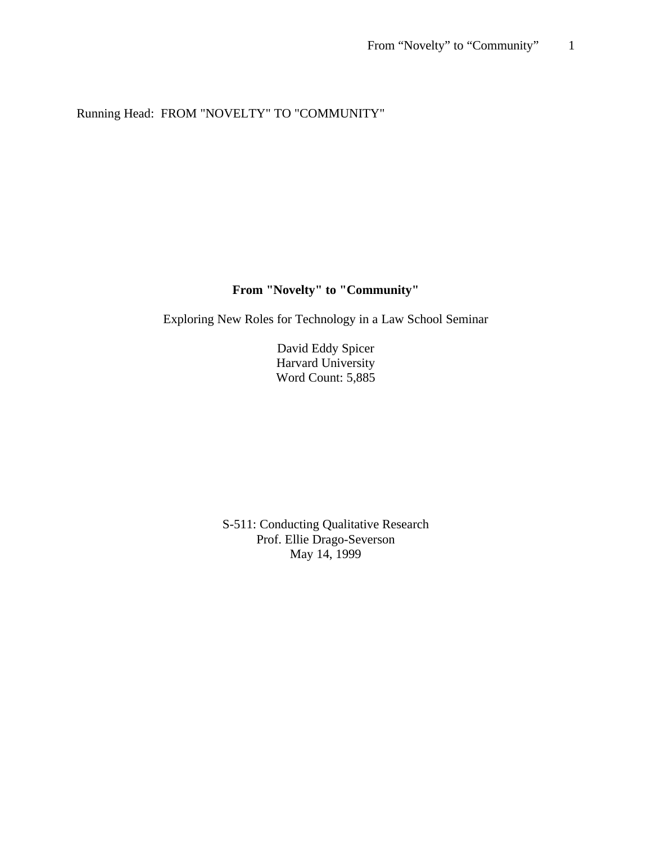# Running Head: FROM "NOVELTY" TO "COMMUNITY"

# **From "Novelty" to "Community"**

Exploring New Roles for Technology in a Law School Seminar

David Eddy Spicer Harvard University Word Count: 5,885

S-511: Conducting Qualitative Research Prof. Ellie Drago-Severson May 14, 1999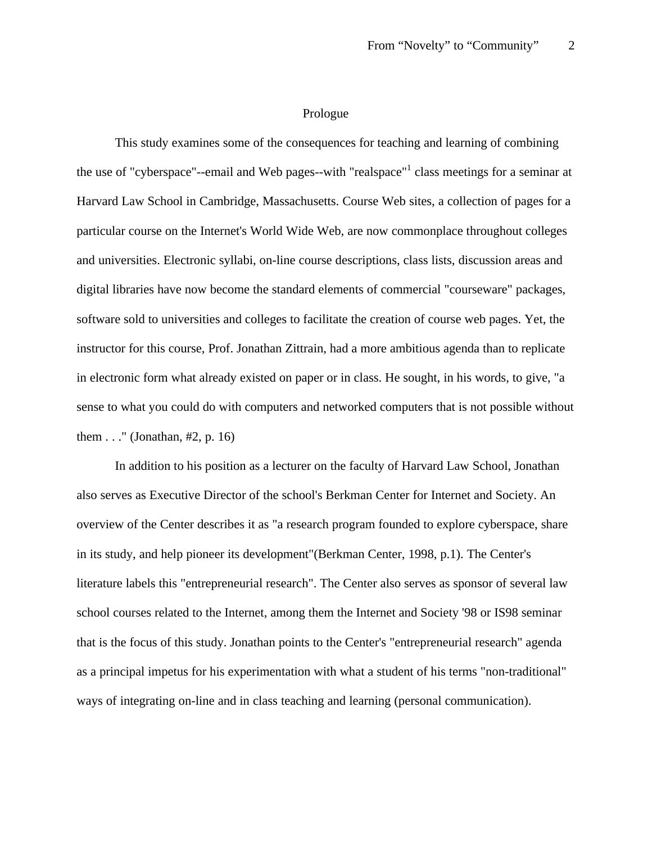## Prologue

This study examines some of the consequences for teaching and learning of combining the use of "cyberspace"--email and Web pages--with "realspace"<sup>1</sup> class meetings for a seminar at Harvard Law School in Cambridge, Massachusetts. Course Web sites, a collection of pages for a particular course on the Internet's World Wide Web, are now commonplace throughout colleges and universities. Electronic syllabi, on-line course descriptions, class lists, discussion areas and digital libraries have now become the standard elements of commercial "courseware" packages, software sold to universities and colleges to facilitate the creation of course web pages. Yet, the instructor for this course, Prof. Jonathan Zittrain, had a more ambitious agenda than to replicate in electronic form what already existed on paper or in class. He sought, in his words, to give, "a sense to what you could do with computers and networked computers that is not possible without them  $\dots$ " (Jonathan, #2, p. 16)

In addition to his position as a lecturer on the faculty of Harvard Law School, Jonathan also serves as Executive Director of the school's Berkman Center for Internet and Society. An overview of the Center describes it as "a research program founded to explore cyberspace, share in its study, and help pioneer its development"(Berkman Center, 1998, p.1). The Center's literature labels this "entrepreneurial research". The Center also serves as sponsor of several law school courses related to the Internet, among them the Internet and Society '98 or IS98 seminar that is the focus of this study. Jonathan points to the Center's "entrepreneurial research" agenda as a principal impetus for his experimentation with what a student of his terms "non-traditional" ways of integrating on-line and in class teaching and learning (personal communication).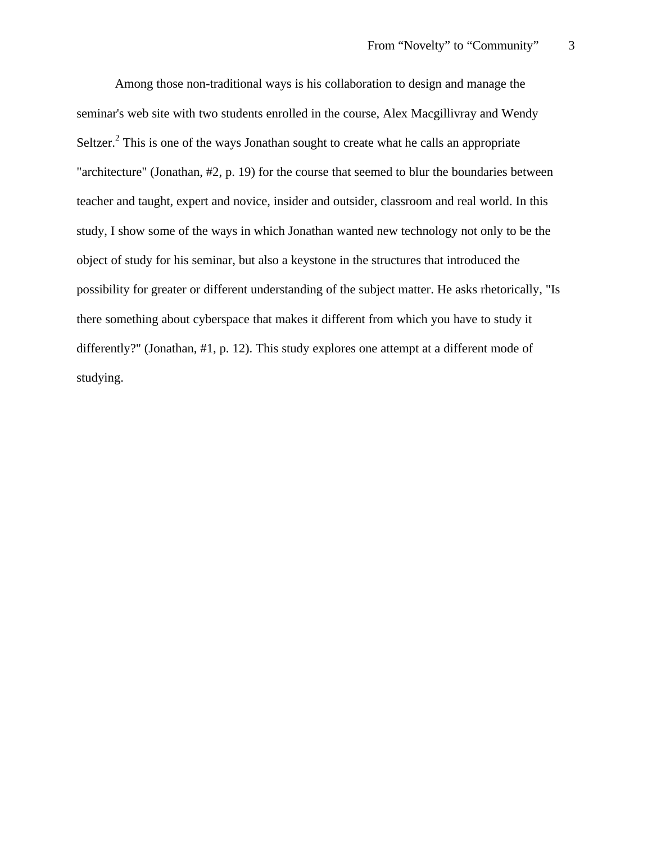Among those non-traditional ways is his collaboration to design and manage the seminar's web site with two students enrolled in the course, Alex Macgillivray and Wendy Seltzer.<sup>2</sup> This is one of the ways Jonathan sought to create what he calls an appropriate "architecture" (Jonathan, #2, p. 19) for the course that seemed to blur the boundaries between teacher and taught, expert and novice, insider and outsider, classroom and real world. In this study, I show some of the ways in which Jonathan wanted new technology not only to be the object of study for his seminar, but also a keystone in the structures that introduced the possibility for greater or different understanding of the subject matter. He asks rhetorically, "Is there something about cyberspace that makes it different from which you have to study it differently?" (Jonathan, #1, p. 12). This study explores one attempt at a different mode of studying.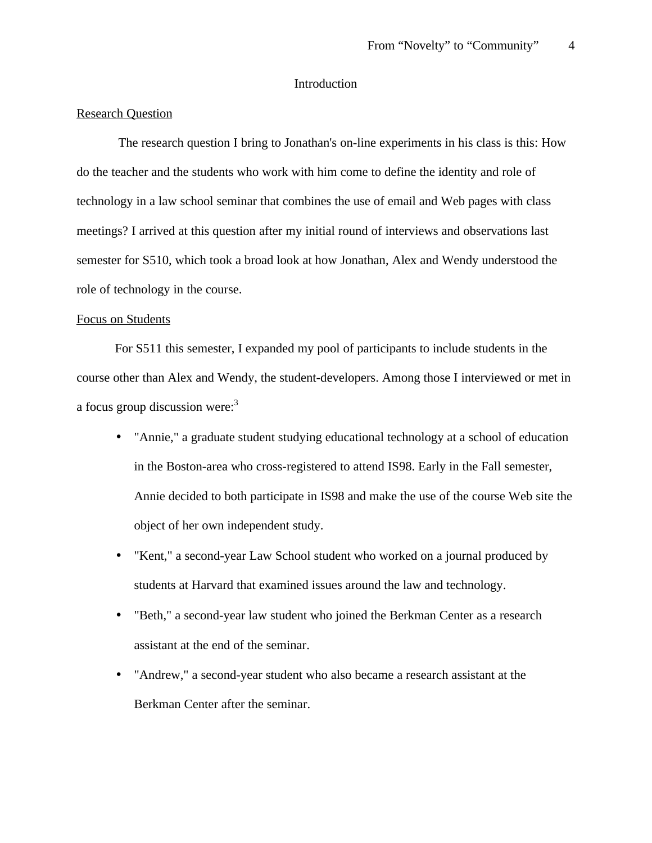# Introduction

## Research Question

 The research question I bring to Jonathan's on-line experiments in his class is this: How do the teacher and the students who work with him come to define the identity and role of technology in a law school seminar that combines the use of email and Web pages with class meetings? I arrived at this question after my initial round of interviews and observations last semester for S510, which took a broad look at how Jonathan, Alex and Wendy understood the role of technology in the course.

### Focus on Students

For S511 this semester, I expanded my pool of participants to include students in the course other than Alex and Wendy, the student-developers. Among those I interviewed or met in a focus group discussion were:<sup>3</sup>

- "Annie," a graduate student studying educational technology at a school of education in the Boston-area who cross-registered to attend IS98. Early in the Fall semester, Annie decided to both participate in IS98 and make the use of the course Web site the object of her own independent study.
- "Kent," a second-year Law School student who worked on a journal produced by students at Harvard that examined issues around the law and technology.
- "Beth," a second-year law student who joined the Berkman Center as a research assistant at the end of the seminar.
- "Andrew," a second-year student who also became a research assistant at the Berkman Center after the seminar.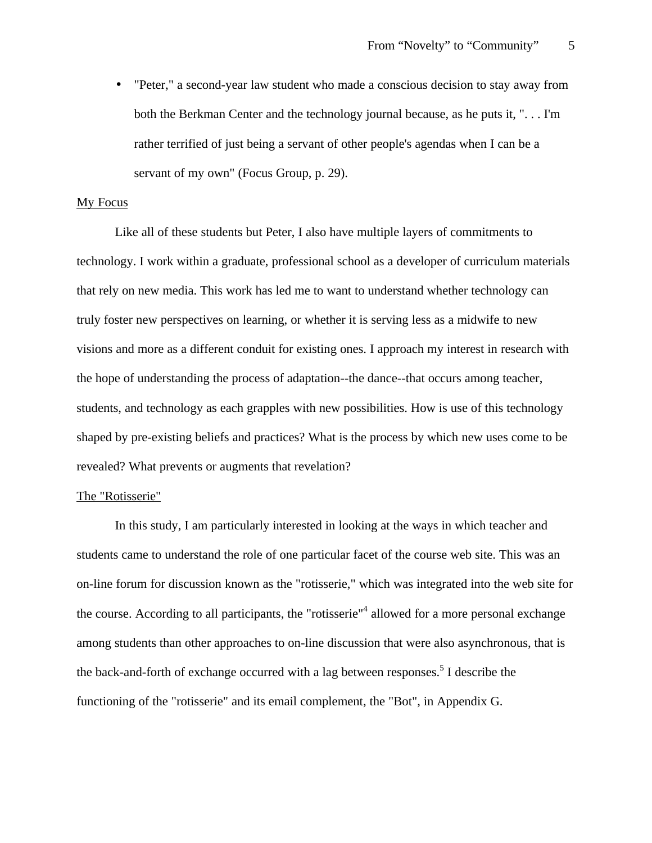• "Peter," a second-year law student who made a conscious decision to stay away from both the Berkman Center and the technology journal because, as he puts it, ". . . I'm rather terrified of just being a servant of other people's agendas when I can be a servant of my own" (Focus Group, p. 29).

#### My Focus

Like all of these students but Peter, I also have multiple layers of commitments to technology. I work within a graduate, professional school as a developer of curriculum materials that rely on new media. This work has led me to want to understand whether technology can truly foster new perspectives on learning, or whether it is serving less as a midwife to new visions and more as a different conduit for existing ones. I approach my interest in research with the hope of understanding the process of adaptation--the dance--that occurs among teacher, students, and technology as each grapples with new possibilities. How is use of this technology shaped by pre-existing beliefs and practices? What is the process by which new uses come to be revealed? What prevents or augments that revelation?

## The "Rotisserie"

In this study, I am particularly interested in looking at the ways in which teacher and students came to understand the role of one particular facet of the course web site. This was an on-line forum for discussion known as the "rotisserie," which was integrated into the web site for the course. According to all participants, the "rotisserie"<sup>4</sup> allowed for a more personal exchange among students than other approaches to on-line discussion that were also asynchronous, that is the back-and-forth of exchange occurred with a lag between responses.<sup>5</sup> I describe the functioning of the "rotisserie" and its email complement, the "Bot", in Appendix G.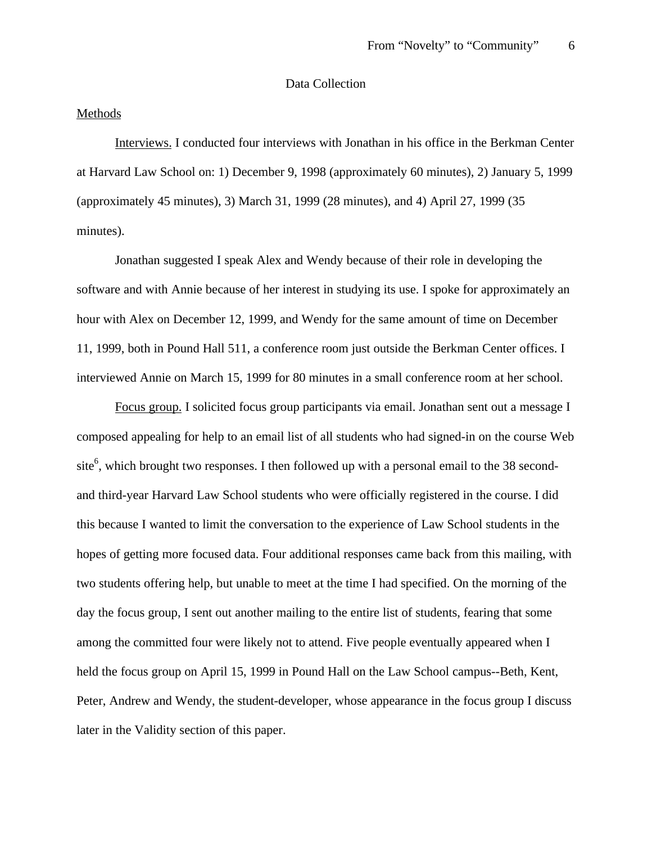# Data Collection

## Methods

Interviews. I conducted four interviews with Jonathan in his office in the Berkman Center at Harvard Law School on: 1) December 9, 1998 (approximately 60 minutes), 2) January 5, 1999 (approximately 45 minutes), 3) March 31, 1999 (28 minutes), and 4) April 27, 1999 (35 minutes).

Jonathan suggested I speak Alex and Wendy because of their role in developing the software and with Annie because of her interest in studying its use. I spoke for approximately an hour with Alex on December 12, 1999, and Wendy for the same amount of time on December 11, 1999, both in Pound Hall 511, a conference room just outside the Berkman Center offices. I interviewed Annie on March 15, 1999 for 80 minutes in a small conference room at her school.

Focus group. I solicited focus group participants via email. Jonathan sent out a message I composed appealing for help to an email list of all students who had signed-in on the course Web site<sup>6</sup>, which brought two responses. I then followed up with a personal email to the 38 secondand third-year Harvard Law School students who were officially registered in the course. I did this because I wanted to limit the conversation to the experience of Law School students in the hopes of getting more focused data. Four additional responses came back from this mailing, with two students offering help, but unable to meet at the time I had specified. On the morning of the day the focus group, I sent out another mailing to the entire list of students, fearing that some among the committed four were likely not to attend. Five people eventually appeared when I held the focus group on April 15, 1999 in Pound Hall on the Law School campus--Beth, Kent, Peter, Andrew and Wendy, the student-developer, whose appearance in the focus group I discuss later in the Validity section of this paper.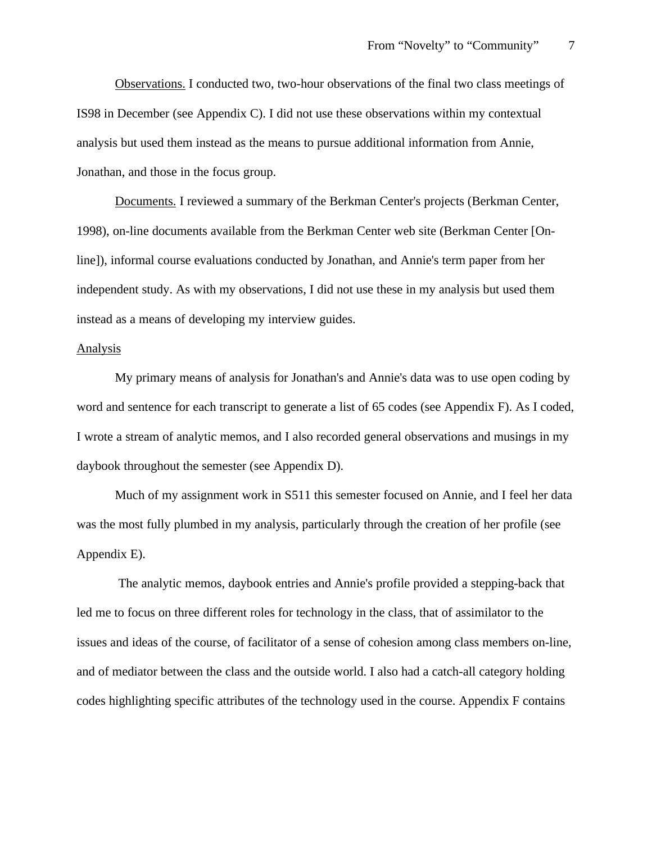Observations. I conducted two, two-hour observations of the final two class meetings of IS98 in December (see Appendix C). I did not use these observations within my contextual analysis but used them instead as the means to pursue additional information from Annie, Jonathan, and those in the focus group.

Documents. I reviewed a summary of the Berkman Center's projects (Berkman Center, 1998), on-line documents available from the Berkman Center web site (Berkman Center [Online]), informal course evaluations conducted by Jonathan, and Annie's term paper from her independent study. As with my observations, I did not use these in my analysis but used them instead as a means of developing my interview guides.

#### Analysis

My primary means of analysis for Jonathan's and Annie's data was to use open coding by word and sentence for each transcript to generate a list of 65 codes (see Appendix F). As I coded, I wrote a stream of analytic memos, and I also recorded general observations and musings in my daybook throughout the semester (see Appendix D).

Much of my assignment work in S511 this semester focused on Annie, and I feel her data was the most fully plumbed in my analysis, particularly through the creation of her profile (see Appendix E).

 The analytic memos, daybook entries and Annie's profile provided a stepping-back that led me to focus on three different roles for technology in the class, that of assimilator to the issues and ideas of the course, of facilitator of a sense of cohesion among class members on-line, and of mediator between the class and the outside world. I also had a catch-all category holding codes highlighting specific attributes of the technology used in the course. Appendix F contains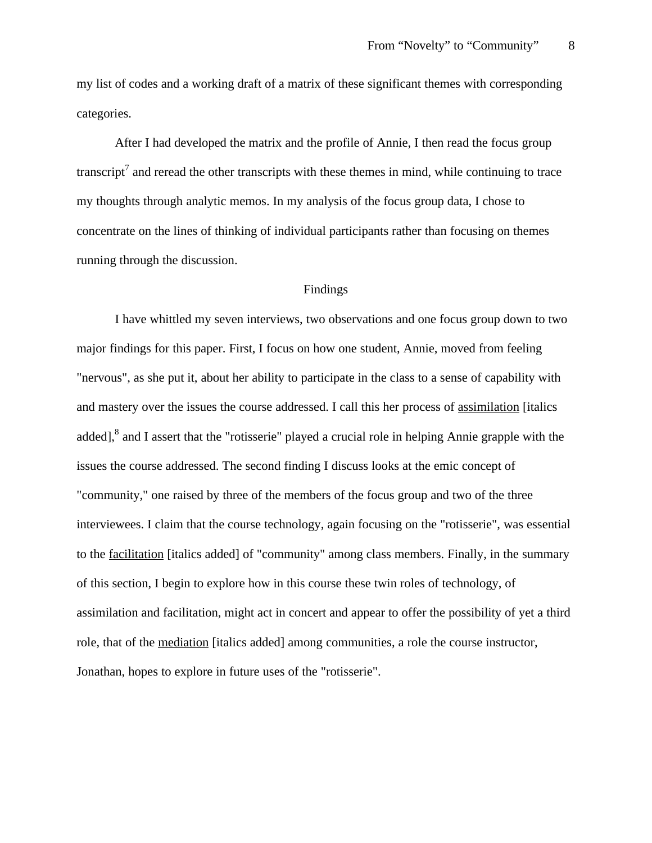my list of codes and a working draft of a matrix of these significant themes with corresponding categories.

After I had developed the matrix and the profile of Annie, I then read the focus group transcript<sup>7</sup> and reread the other transcripts with these themes in mind, while continuing to trace my thoughts through analytic memos. In my analysis of the focus group data, I chose to concentrate on the lines of thinking of individual participants rather than focusing on themes running through the discussion.

# Findings

I have whittled my seven interviews, two observations and one focus group down to two major findings for this paper. First, I focus on how one student, Annie, moved from feeling "nervous", as she put it, about her ability to participate in the class to a sense of capability with and mastery over the issues the course addressed. I call this her process of assimilation [italics added], $^8$  and I assert that the "rotisserie" played a crucial role in helping Annie grapple with the issues the course addressed. The second finding I discuss looks at the emic concept of "community," one raised by three of the members of the focus group and two of the three interviewees. I claim that the course technology, again focusing on the "rotisserie", was essential to the facilitation [italics added] of "community" among class members. Finally, in the summary of this section, I begin to explore how in this course these twin roles of technology, of assimilation and facilitation, might act in concert and appear to offer the possibility of yet a third role, that of the mediation [italics added] among communities, a role the course instructor, Jonathan, hopes to explore in future uses of the "rotisserie".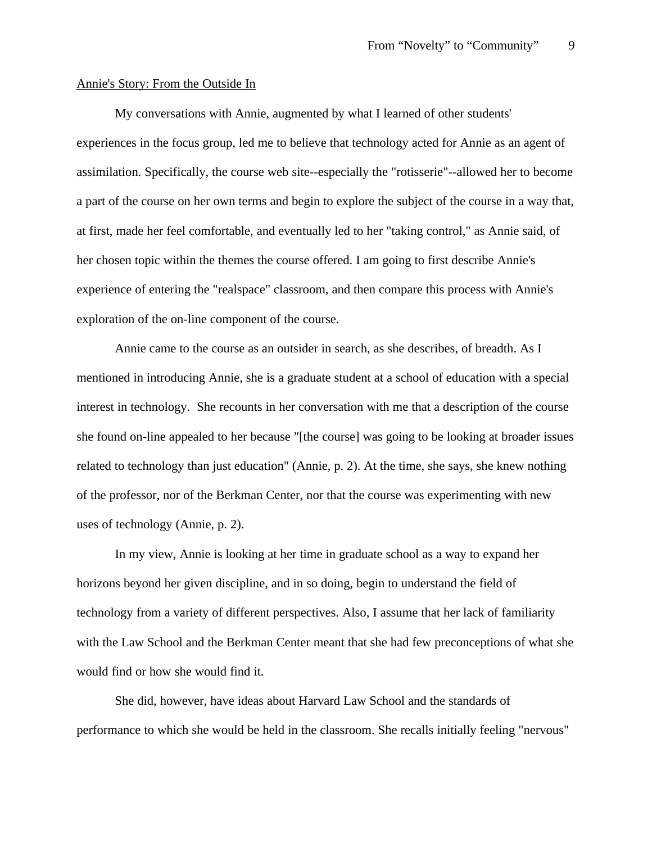## Annie's Story: From the Outside In

My conversations with Annie, augmented by what I learned of other students' experiences in the focus group, led me to believe that technology acted for Annie as an agent of assimilation. Specifically, the course web site--especially the "rotisserie"--allowed her to become a part of the course on her own terms and begin to explore the subject of the course in a way that, at first, made her feel comfortable, and eventually led to her "taking control," as Annie said, of her chosen topic within the themes the course offered. I am going to first describe Annie's experience of entering the "realspace" classroom, and then compare this process with Annie's exploration of the on-line component of the course.

Annie came to the course as an outsider in search, as she describes, of breadth. As I mentioned in introducing Annie, she is a graduate student at a school of education with a special interest in technology. She recounts in her conversation with me that a description of the course she found on-line appealed to her because "[the course] was going to be looking at broader issues related to technology than just education" (Annie, p. 2). At the time, she says, she knew nothing of the professor, nor of the Berkman Center, nor that the course was experimenting with new uses of technology (Annie, p. 2).

In my view, Annie is looking at her time in graduate school as a way to expand her horizons beyond her given discipline, and in so doing, begin to understand the field of technology from a variety of different perspectives. Also, I assume that her lack of familiarity with the Law School and the Berkman Center meant that she had few preconceptions of what she would find or how she would find it.

She did, however, have ideas about Harvard Law School and the standards of performance to which she would be held in the classroom. She recalls initially feeling "nervous"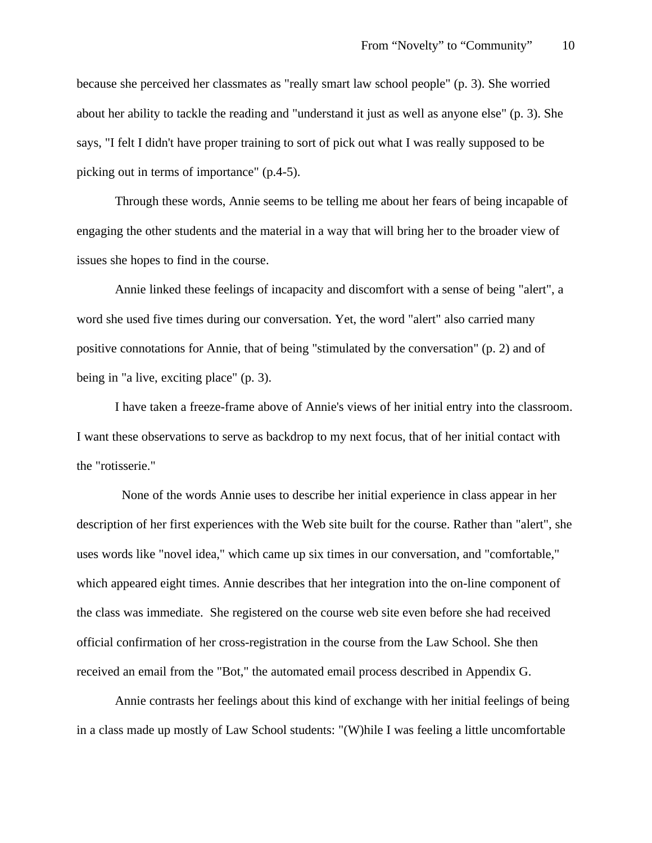because she perceived her classmates as "really smart law school people" (p. 3). She worried about her ability to tackle the reading and "understand it just as well as anyone else" (p. 3). She says, "I felt I didn't have proper training to sort of pick out what I was really supposed to be picking out in terms of importance" (p.4-5).

Through these words, Annie seems to be telling me about her fears of being incapable of engaging the other students and the material in a way that will bring her to the broader view of issues she hopes to find in the course.

Annie linked these feelings of incapacity and discomfort with a sense of being "alert", a word she used five times during our conversation. Yet, the word "alert" also carried many positive connotations for Annie, that of being "stimulated by the conversation" (p. 2) and of being in "a live, exciting place" (p. 3).

I have taken a freeze-frame above of Annie's views of her initial entry into the classroom. I want these observations to serve as backdrop to my next focus, that of her initial contact with the "rotisserie."

 None of the words Annie uses to describe her initial experience in class appear in her description of her first experiences with the Web site built for the course. Rather than "alert", she uses words like "novel idea," which came up six times in our conversation, and "comfortable," which appeared eight times. Annie describes that her integration into the on-line component of the class was immediate. She registered on the course web site even before she had received official confirmation of her cross-registration in the course from the Law School. She then received an email from the "Bot," the automated email process described in Appendix G.

Annie contrasts her feelings about this kind of exchange with her initial feelings of being in a class made up mostly of Law School students: "(W)hile I was feeling a little uncomfortable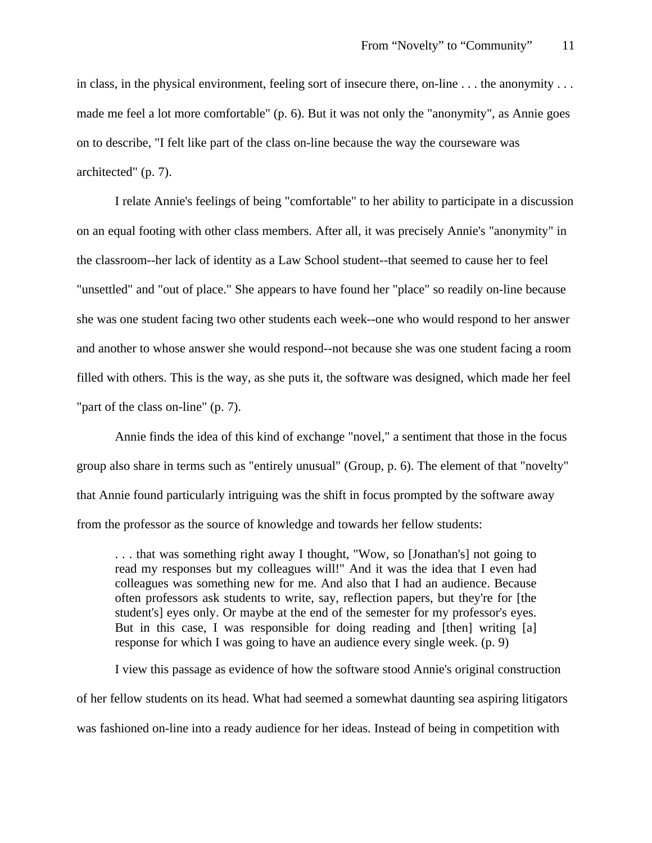in class, in the physical environment, feeling sort of insecure there, on-line . . . the anonymity . . . made me feel a lot more comfortable" (p. 6). But it was not only the "anonymity", as Annie goes on to describe, "I felt like part of the class on-line because the way the courseware was architected" (p. 7).

I relate Annie's feelings of being "comfortable" to her ability to participate in a discussion on an equal footing with other class members. After all, it was precisely Annie's "anonymity" in the classroom--her lack of identity as a Law School student--that seemed to cause her to feel "unsettled" and "out of place." She appears to have found her "place" so readily on-line because she was one student facing two other students each week--one who would respond to her answer and another to whose answer she would respond--not because she was one student facing a room filled with others. This is the way, as she puts it, the software was designed, which made her feel "part of the class on-line" (p. 7).

Annie finds the idea of this kind of exchange "novel," a sentiment that those in the focus group also share in terms such as "entirely unusual" (Group, p. 6). The element of that "novelty" that Annie found particularly intriguing was the shift in focus prompted by the software away from the professor as the source of knowledge and towards her fellow students:

. . . that was something right away I thought, "Wow, so [Jonathan's] not going to read my responses but my colleagues will!" And it was the idea that I even had colleagues was something new for me. And also that I had an audience. Because often professors ask students to write, say, reflection papers, but they're for [the student's] eyes only. Or maybe at the end of the semester for my professor's eyes. But in this case, I was responsible for doing reading and [then] writing [a] response for which I was going to have an audience every single week. (p. 9)

I view this passage as evidence of how the software stood Annie's original construction of her fellow students on its head. What had seemed a somewhat daunting sea aspiring litigators was fashioned on-line into a ready audience for her ideas. Instead of being in competition with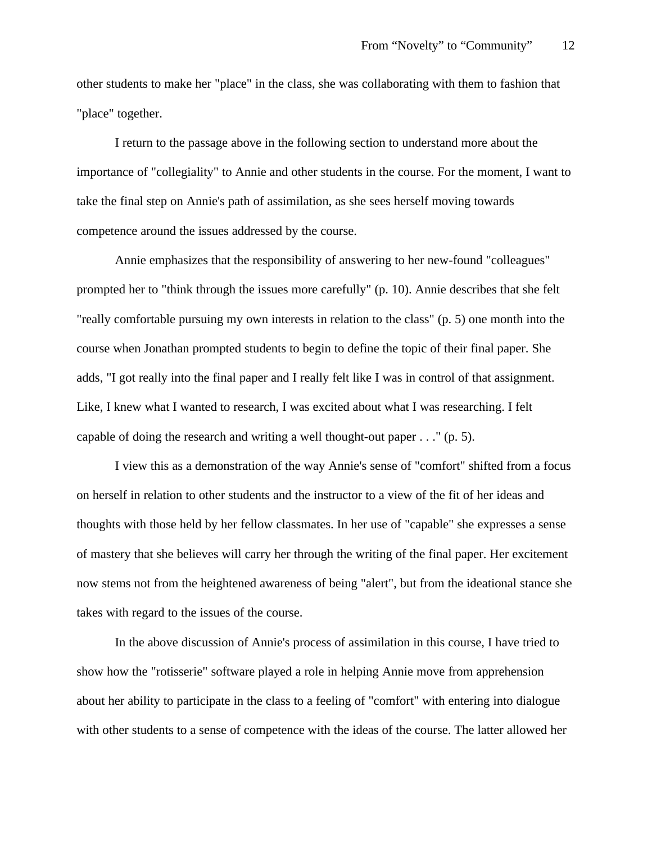other students to make her "place" in the class, she was collaborating with them to fashion that "place" together.

I return to the passage above in the following section to understand more about the importance of "collegiality" to Annie and other students in the course. For the moment, I want to take the final step on Annie's path of assimilation, as she sees herself moving towards competence around the issues addressed by the course.

Annie emphasizes that the responsibility of answering to her new-found "colleagues" prompted her to "think through the issues more carefully" (p. 10). Annie describes that she felt "really comfortable pursuing my own interests in relation to the class" (p. 5) one month into the course when Jonathan prompted students to begin to define the topic of their final paper. She adds, "I got really into the final paper and I really felt like I was in control of that assignment. Like, I knew what I wanted to research, I was excited about what I was researching. I felt capable of doing the research and writing a well thought-out paper . . ." (p. 5).

I view this as a demonstration of the way Annie's sense of "comfort" shifted from a focus on herself in relation to other students and the instructor to a view of the fit of her ideas and thoughts with those held by her fellow classmates. In her use of "capable" she expresses a sense of mastery that she believes will carry her through the writing of the final paper. Her excitement now stems not from the heightened awareness of being "alert", but from the ideational stance she takes with regard to the issues of the course.

In the above discussion of Annie's process of assimilation in this course, I have tried to show how the "rotisserie" software played a role in helping Annie move from apprehension about her ability to participate in the class to a feeling of "comfort" with entering into dialogue with other students to a sense of competence with the ideas of the course. The latter allowed her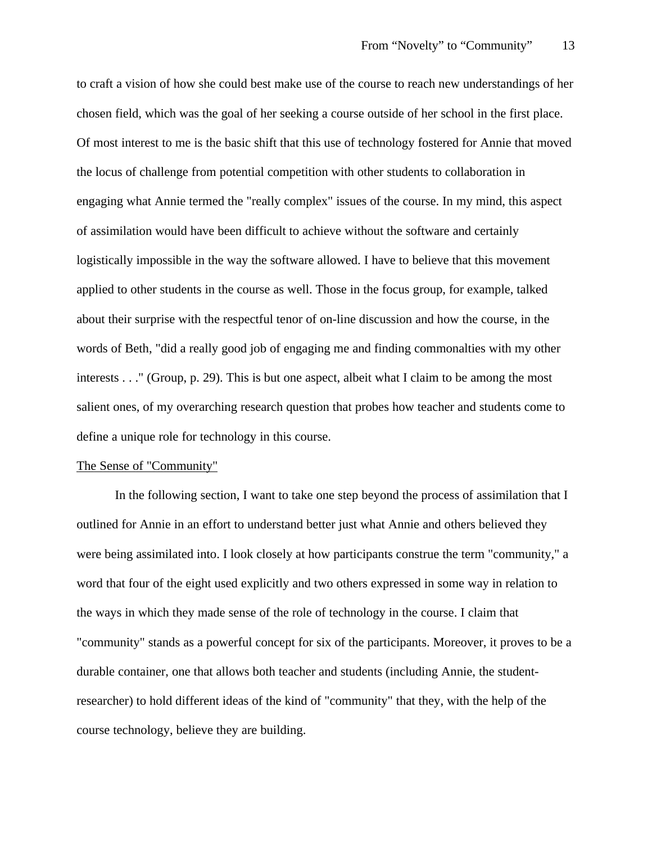to craft a vision of how she could best make use of the course to reach new understandings of her chosen field, which was the goal of her seeking a course outside of her school in the first place. Of most interest to me is the basic shift that this use of technology fostered for Annie that moved the locus of challenge from potential competition with other students to collaboration in engaging what Annie termed the "really complex" issues of the course. In my mind, this aspect of assimilation would have been difficult to achieve without the software and certainly logistically impossible in the way the software allowed. I have to believe that this movement applied to other students in the course as well. Those in the focus group, for example, talked about their surprise with the respectful tenor of on-line discussion and how the course, in the words of Beth, "did a really good job of engaging me and finding commonalties with my other interests . . ." (Group, p. 29). This is but one aspect, albeit what I claim to be among the most salient ones, of my overarching research question that probes how teacher and students come to define a unique role for technology in this course.

## The Sense of "Community"

In the following section, I want to take one step beyond the process of assimilation that I outlined for Annie in an effort to understand better just what Annie and others believed they were being assimilated into. I look closely at how participants construe the term "community," a word that four of the eight used explicitly and two others expressed in some way in relation to the ways in which they made sense of the role of technology in the course. I claim that "community" stands as a powerful concept for six of the participants. Moreover, it proves to be a durable container, one that allows both teacher and students (including Annie, the studentresearcher) to hold different ideas of the kind of "community" that they, with the help of the course technology, believe they are building.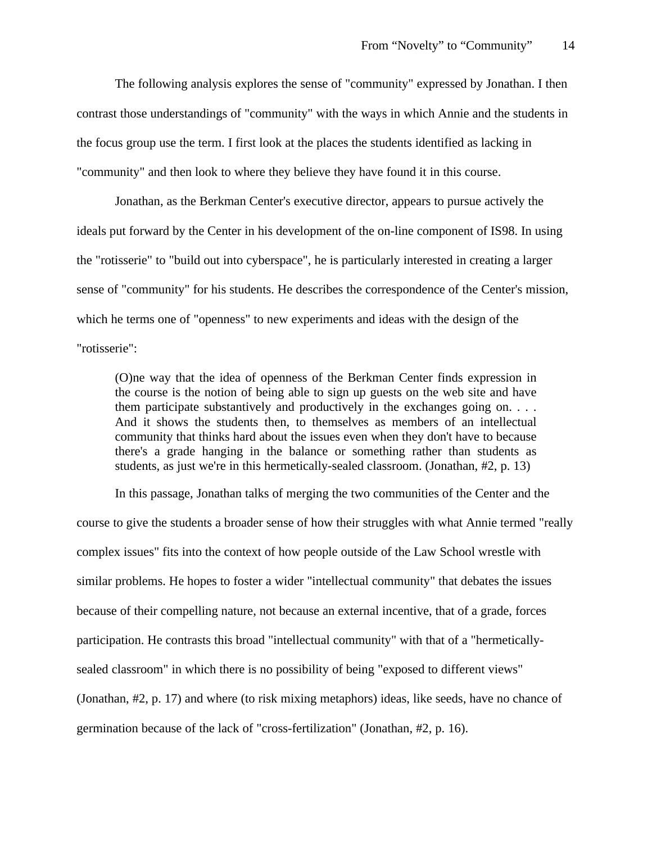The following analysis explores the sense of "community" expressed by Jonathan. I then contrast those understandings of "community" with the ways in which Annie and the students in the focus group use the term. I first look at the places the students identified as lacking in "community" and then look to where they believe they have found it in this course.

Jonathan, as the Berkman Center's executive director, appears to pursue actively the ideals put forward by the Center in his development of the on-line component of IS98. In using the "rotisserie" to "build out into cyberspace", he is particularly interested in creating a larger sense of "community" for his students. He describes the correspondence of the Center's mission, which he terms one of "openness" to new experiments and ideas with the design of the "rotisserie":

(O)ne way that the idea of openness of the Berkman Center finds expression in the course is the notion of being able to sign up guests on the web site and have them participate substantively and productively in the exchanges going on. . . . And it shows the students then, to themselves as members of an intellectual community that thinks hard about the issues even when they don't have to because there's a grade hanging in the balance or something rather than students as students, as just we're in this hermetically-sealed classroom. (Jonathan, #2, p. 13)

In this passage, Jonathan talks of merging the two communities of the Center and the course to give the students a broader sense of how their struggles with what Annie termed "really complex issues" fits into the context of how people outside of the Law School wrestle with similar problems. He hopes to foster a wider "intellectual community" that debates the issues because of their compelling nature, not because an external incentive, that of a grade, forces participation. He contrasts this broad "intellectual community" with that of a "hermeticallysealed classroom" in which there is no possibility of being "exposed to different views" (Jonathan, #2, p. 17) and where (to risk mixing metaphors) ideas, like seeds, have no chance of germination because of the lack of "cross-fertilization" (Jonathan, #2, p. 16).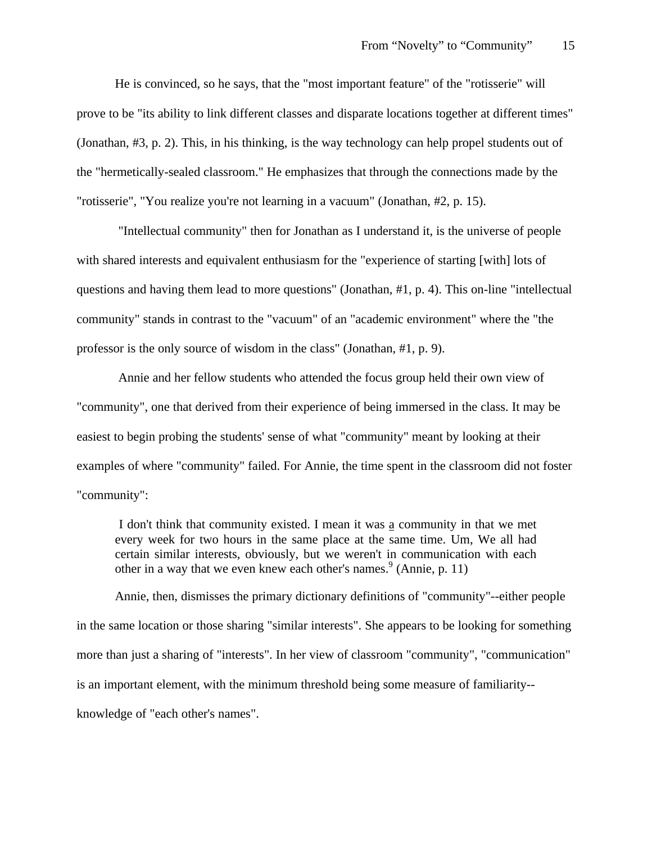He is convinced, so he says, that the "most important feature" of the "rotisserie" will prove to be "its ability to link different classes and disparate locations together at different times" (Jonathan, #3, p. 2). This, in his thinking, is the way technology can help propel students out of the "hermetically-sealed classroom." He emphasizes that through the connections made by the "rotisserie", "You realize you're not learning in a vacuum" (Jonathan, #2, p. 15).

 "Intellectual community" then for Jonathan as I understand it, is the universe of people with shared interests and equivalent enthusiasm for the "experience of starting [with] lots of questions and having them lead to more questions" (Jonathan, #1, p. 4). This on-line "intellectual community" stands in contrast to the "vacuum" of an "academic environment" where the "the professor is the only source of wisdom in the class" (Jonathan, #1, p. 9).

 Annie and her fellow students who attended the focus group held their own view of "community", one that derived from their experience of being immersed in the class. It may be easiest to begin probing the students' sense of what "community" meant by looking at their examples of where "community" failed. For Annie, the time spent in the classroom did not foster "community":

 I don't think that community existed. I mean it was a community in that we met every week for two hours in the same place at the same time. Um, We all had certain similar interests, obviously, but we weren't in communication with each other in a way that we even knew each other's names.  $9^{9}$  (Annie, p. 11)

Annie, then, dismisses the primary dictionary definitions of "community"--either people in the same location or those sharing "similar interests". She appears to be looking for something more than just a sharing of "interests". In her view of classroom "community", "communication" is an important element, with the minimum threshold being some measure of familiarity- knowledge of "each other's names".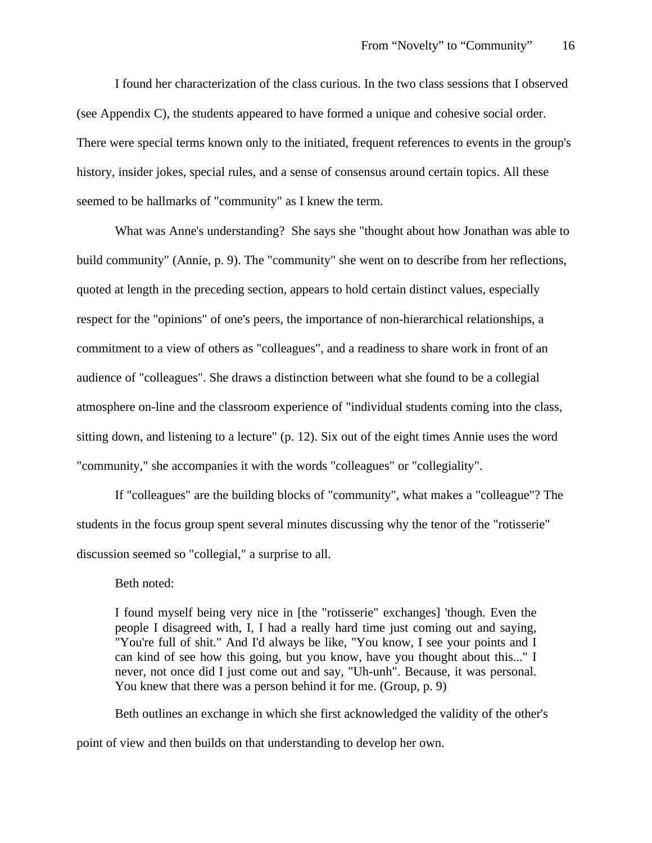I found her characterization of the class curious. In the two class sessions that I observed (see Appendix C), the students appeared to have formed a unique and cohesive social order. There were special terms known only to the initiated, frequent references to events in the group's history, insider jokes, special rules, and a sense of consensus around certain topics. All these seemed to be hallmarks of "community" as I knew the term.

What was Anne's understanding? She says she "thought about how Jonathan was able to build community" (Annie, p. 9). The "community" she went on to describe from her reflections, quoted at length in the preceding section, appears to hold certain distinct values, especially respect for the "opinions" of one's peers, the importance of non-hierarchical relationships, a commitment to a view of others as "colleagues", and a readiness to share work in front of an audience of "colleagues". She draws a distinction between what she found to be a collegial atmosphere on-line and the classroom experience of "individual students coming into the class, sitting down, and listening to a lecture" (p. 12). Six out of the eight times Annie uses the word "community," she accompanies it with the words "colleagues" or "collegiality".

If "colleagues" are the building blocks of "community", what makes a "colleague"? The students in the focus group spent several minutes discussing why the tenor of the "rotisserie" discussion seemed so "collegial," a surprise to all.

Beth noted:

I found myself being very nice in [the "rotisserie" exchanges] 'though. Even the people I disagreed with, I, I had a really hard time just coming out and saying, "You're full of shit." And I'd always be like, "You know, I see your points and I can kind of see how this going, but you know, have you thought about this..." I never, not once did I just come out and say, "Uh-unh". Because, it was personal. You knew that there was a person behind it for me. (Group, p. 9)

Beth outlines an exchange in which she first acknowledged the validity of the other's point of view and then builds on that understanding to develop her own.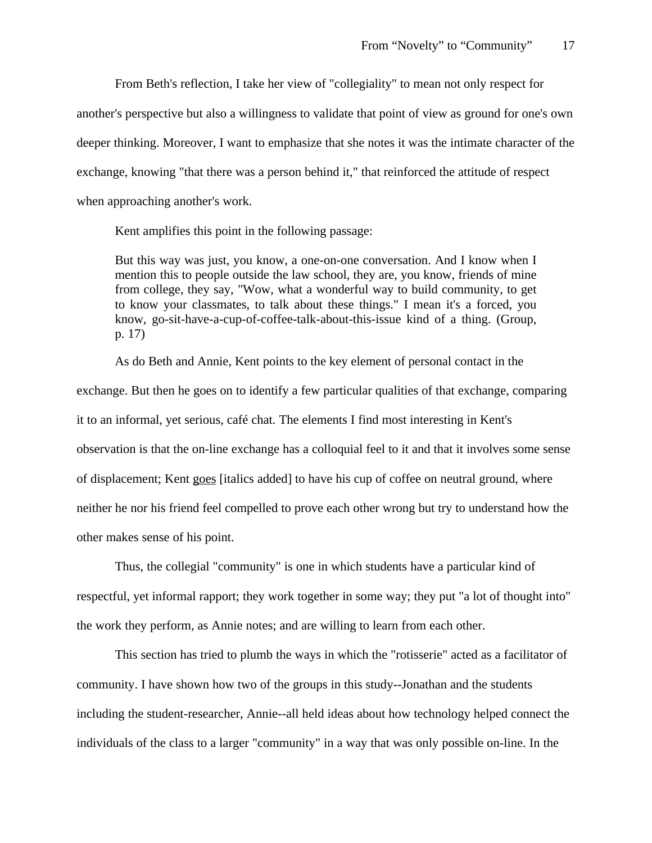From Beth's reflection, I take her view of "collegiality" to mean not only respect for another's perspective but also a willingness to validate that point of view as ground for one's own deeper thinking. Moreover, I want to emphasize that she notes it was the intimate character of the exchange, knowing "that there was a person behind it," that reinforced the attitude of respect when approaching another's work.

Kent amplifies this point in the following passage:

But this way was just, you know, a one-on-one conversation. And I know when I mention this to people outside the law school, they are, you know, friends of mine from college, they say, "Wow, what a wonderful way to build community, to get to know your classmates, to talk about these things." I mean it's a forced, you know, go-sit-have-a-cup-of-coffee-talk-about-this-issue kind of a thing. (Group, p. 17)

As do Beth and Annie, Kent points to the key element of personal contact in the exchange. But then he goes on to identify a few particular qualities of that exchange, comparing it to an informal, yet serious, café chat. The elements I find most interesting in Kent's observation is that the on-line exchange has a colloquial feel to it and that it involves some sense of displacement; Kent goes [italics added] to have his cup of coffee on neutral ground, where neither he nor his friend feel compelled to prove each other wrong but try to understand how the other makes sense of his point.

Thus, the collegial "community" is one in which students have a particular kind of respectful, yet informal rapport; they work together in some way; they put "a lot of thought into" the work they perform, as Annie notes; and are willing to learn from each other.

This section has tried to plumb the ways in which the "rotisserie" acted as a facilitator of community. I have shown how two of the groups in this study--Jonathan and the students including the student-researcher, Annie--all held ideas about how technology helped connect the individuals of the class to a larger "community" in a way that was only possible on-line. In the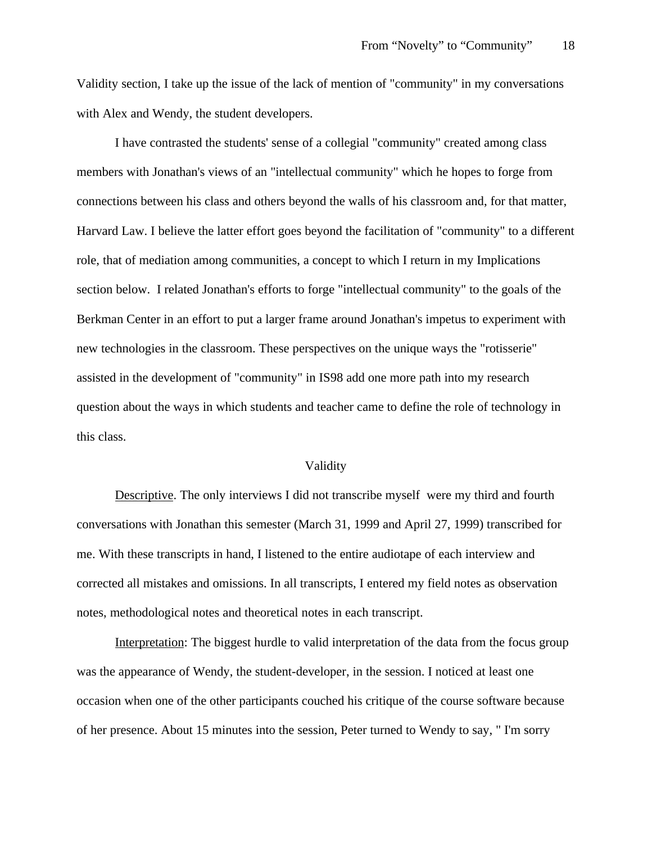Validity section, I take up the issue of the lack of mention of "community" in my conversations with Alex and Wendy, the student developers.

I have contrasted the students' sense of a collegial "community" created among class members with Jonathan's views of an "intellectual community" which he hopes to forge from connections between his class and others beyond the walls of his classroom and, for that matter, Harvard Law. I believe the latter effort goes beyond the facilitation of "community" to a different role, that of mediation among communities, a concept to which I return in my Implications section below. I related Jonathan's efforts to forge "intellectual community" to the goals of the Berkman Center in an effort to put a larger frame around Jonathan's impetus to experiment with new technologies in the classroom. These perspectives on the unique ways the "rotisserie" assisted in the development of "community" in IS98 add one more path into my research question about the ways in which students and teacher came to define the role of technology in this class.

## Validity

Descriptive. The only interviews I did not transcribe myself were my third and fourth conversations with Jonathan this semester (March 31, 1999 and April 27, 1999) transcribed for me. With these transcripts in hand, I listened to the entire audiotape of each interview and corrected all mistakes and omissions. In all transcripts, I entered my field notes as observation notes, methodological notes and theoretical notes in each transcript.

Interpretation: The biggest hurdle to valid interpretation of the data from the focus group was the appearance of Wendy, the student-developer, in the session. I noticed at least one occasion when one of the other participants couched his critique of the course software because of her presence. About 15 minutes into the session, Peter turned to Wendy to say, " I'm sorry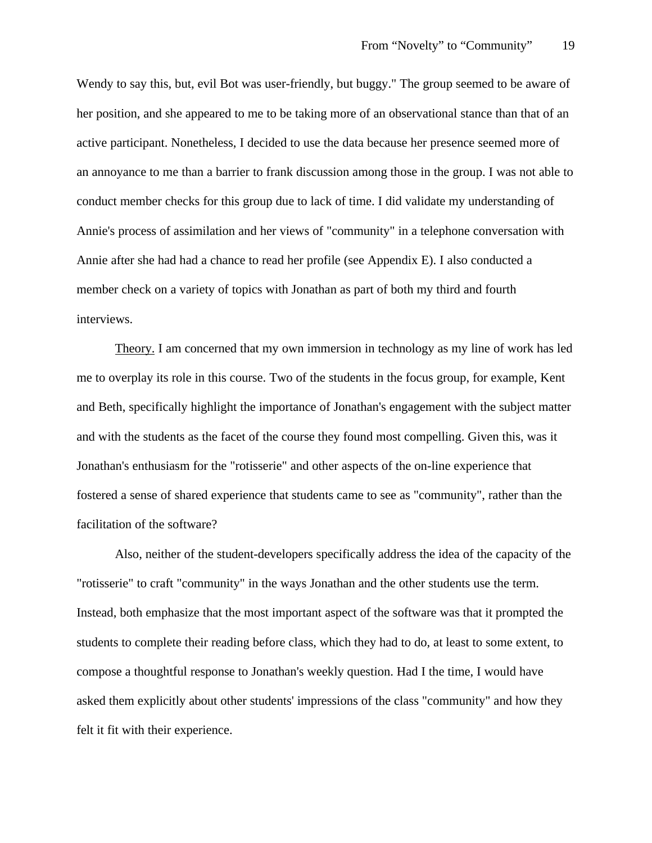Wendy to say this, but, evil Bot was user-friendly, but buggy." The group seemed to be aware of her position, and she appeared to me to be taking more of an observational stance than that of an active participant. Nonetheless, I decided to use the data because her presence seemed more of an annoyance to me than a barrier to frank discussion among those in the group. I was not able to conduct member checks for this group due to lack of time. I did validate my understanding of Annie's process of assimilation and her views of "community" in a telephone conversation with Annie after she had had a chance to read her profile (see Appendix E). I also conducted a member check on a variety of topics with Jonathan as part of both my third and fourth interviews.

Theory. I am concerned that my own immersion in technology as my line of work has led me to overplay its role in this course. Two of the students in the focus group, for example, Kent and Beth, specifically highlight the importance of Jonathan's engagement with the subject matter and with the students as the facet of the course they found most compelling. Given this, was it Jonathan's enthusiasm for the "rotisserie" and other aspects of the on-line experience that fostered a sense of shared experience that students came to see as "community", rather than the facilitation of the software?

Also, neither of the student-developers specifically address the idea of the capacity of the "rotisserie" to craft "community" in the ways Jonathan and the other students use the term. Instead, both emphasize that the most important aspect of the software was that it prompted the students to complete their reading before class, which they had to do, at least to some extent, to compose a thoughtful response to Jonathan's weekly question. Had I the time, I would have asked them explicitly about other students' impressions of the class "community" and how they felt it fit with their experience.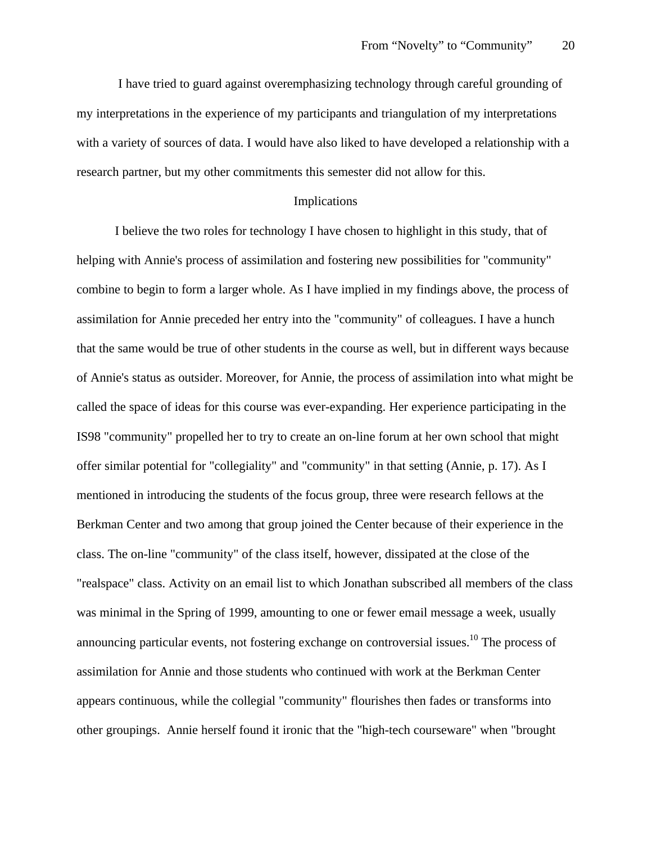I have tried to guard against overemphasizing technology through careful grounding of my interpretations in the experience of my participants and triangulation of my interpretations with a variety of sources of data. I would have also liked to have developed a relationship with a research partner, but my other commitments this semester did not allow for this.

# Implications

I believe the two roles for technology I have chosen to highlight in this study, that of helping with Annie's process of assimilation and fostering new possibilities for "community" combine to begin to form a larger whole. As I have implied in my findings above, the process of assimilation for Annie preceded her entry into the "community" of colleagues. I have a hunch that the same would be true of other students in the course as well, but in different ways because of Annie's status as outsider. Moreover, for Annie, the process of assimilation into what might be called the space of ideas for this course was ever-expanding. Her experience participating in the IS98 "community" propelled her to try to create an on-line forum at her own school that might offer similar potential for "collegiality" and "community" in that setting (Annie, p. 17). As I mentioned in introducing the students of the focus group, three were research fellows at the Berkman Center and two among that group joined the Center because of their experience in the class. The on-line "community" of the class itself, however, dissipated at the close of the "realspace" class. Activity on an email list to which Jonathan subscribed all members of the class was minimal in the Spring of 1999, amounting to one or fewer email message a week, usually announcing particular events, not fostering exchange on controversial issues.<sup>10</sup> The process of assimilation for Annie and those students who continued with work at the Berkman Center appears continuous, while the collegial "community" flourishes then fades or transforms into other groupings. Annie herself found it ironic that the "high-tech courseware" when "brought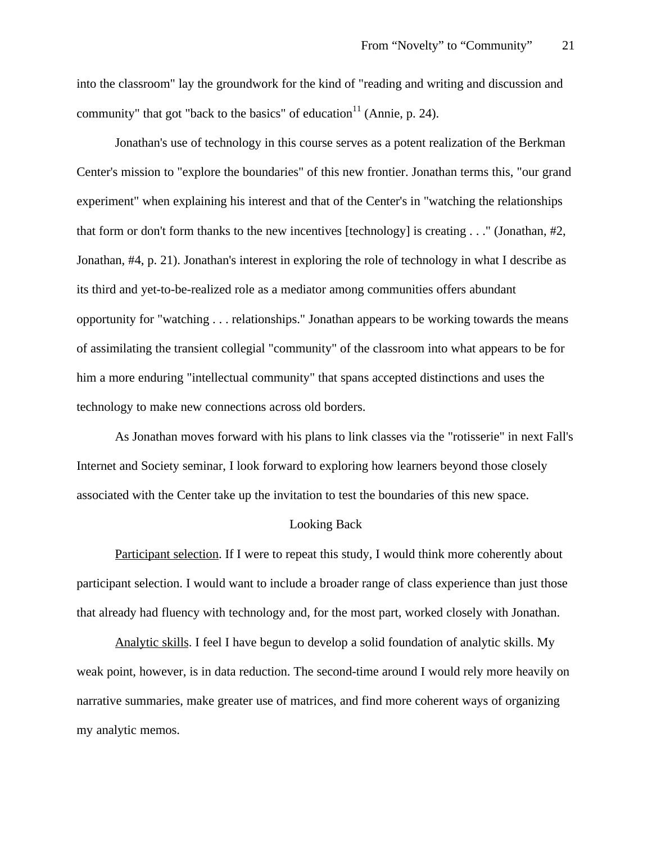into the classroom" lay the groundwork for the kind of "reading and writing and discussion and community" that got "back to the basics" of education $11$  (Annie, p. 24).

Jonathan's use of technology in this course serves as a potent realization of the Berkman Center's mission to "explore the boundaries" of this new frontier. Jonathan terms this, "our grand experiment" when explaining his interest and that of the Center's in "watching the relationships that form or don't form thanks to the new incentives [technology] is creating . . ." (Jonathan, #2, Jonathan, #4, p. 21). Jonathan's interest in exploring the role of technology in what I describe as its third and yet-to-be-realized role as a mediator among communities offers abundant opportunity for "watching . . . relationships." Jonathan appears to be working towards the means of assimilating the transient collegial "community" of the classroom into what appears to be for him a more enduring "intellectual community" that spans accepted distinctions and uses the technology to make new connections across old borders.

As Jonathan moves forward with his plans to link classes via the "rotisserie" in next Fall's Internet and Society seminar, I look forward to exploring how learners beyond those closely associated with the Center take up the invitation to test the boundaries of this new space.

# Looking Back

Participant selection. If I were to repeat this study, I would think more coherently about participant selection. I would want to include a broader range of class experience than just those that already had fluency with technology and, for the most part, worked closely with Jonathan.

Analytic skills. I feel I have begun to develop a solid foundation of analytic skills. My weak point, however, is in data reduction. The second-time around I would rely more heavily on narrative summaries, make greater use of matrices, and find more coherent ways of organizing my analytic memos.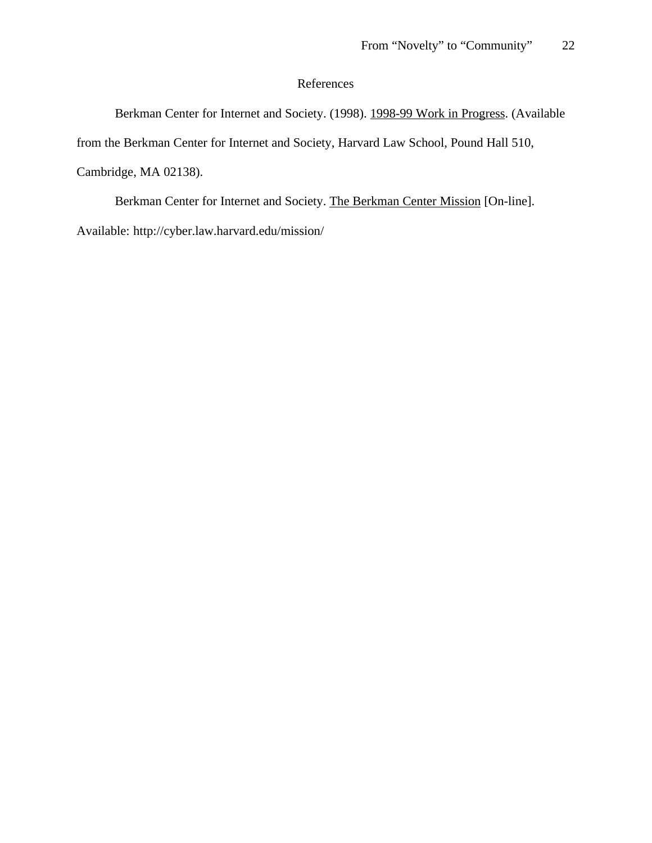# References

Berkman Center for Internet and Society. (1998). 1998-99 Work in Progress. (Available from the Berkman Center for Internet and Society, Harvard Law School, Pound Hall 510, Cambridge, MA 02138).

Berkman Center for Internet and Society. The Berkman Center Mission [On-line]. Available: http://cyber.law.harvard.edu/mission/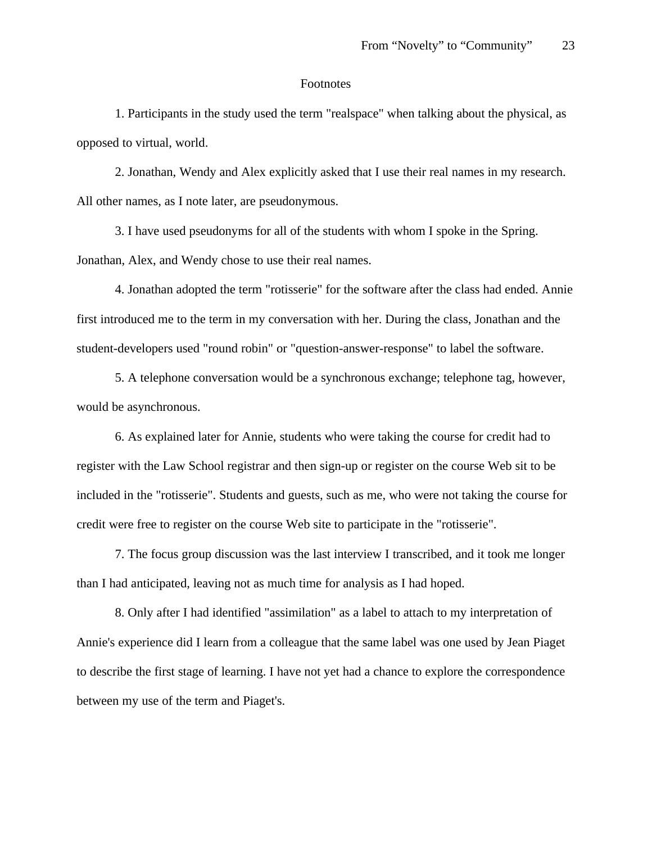## Footnotes

1. Participants in the study used the term "realspace" when talking about the physical, as opposed to virtual, world.

2. Jonathan, Wendy and Alex explicitly asked that I use their real names in my research. All other names, as I note later, are pseudonymous.

3. I have used pseudonyms for all of the students with whom I spoke in the Spring. Jonathan, Alex, and Wendy chose to use their real names.

4. Jonathan adopted the term "rotisserie" for the software after the class had ended. Annie first introduced me to the term in my conversation with her. During the class, Jonathan and the student-developers used "round robin" or "question-answer-response" to label the software.

5. A telephone conversation would be a synchronous exchange; telephone tag, however, would be asynchronous.

6. As explained later for Annie, students who were taking the course for credit had to register with the Law School registrar and then sign-up or register on the course Web sit to be included in the "rotisserie". Students and guests, such as me, who were not taking the course for credit were free to register on the course Web site to participate in the "rotisserie".

7. The focus group discussion was the last interview I transcribed, and it took me longer than I had anticipated, leaving not as much time for analysis as I had hoped.

8. Only after I had identified "assimilation" as a label to attach to my interpretation of Annie's experience did I learn from a colleague that the same label was one used by Jean Piaget to describe the first stage of learning. I have not yet had a chance to explore the correspondence between my use of the term and Piaget's.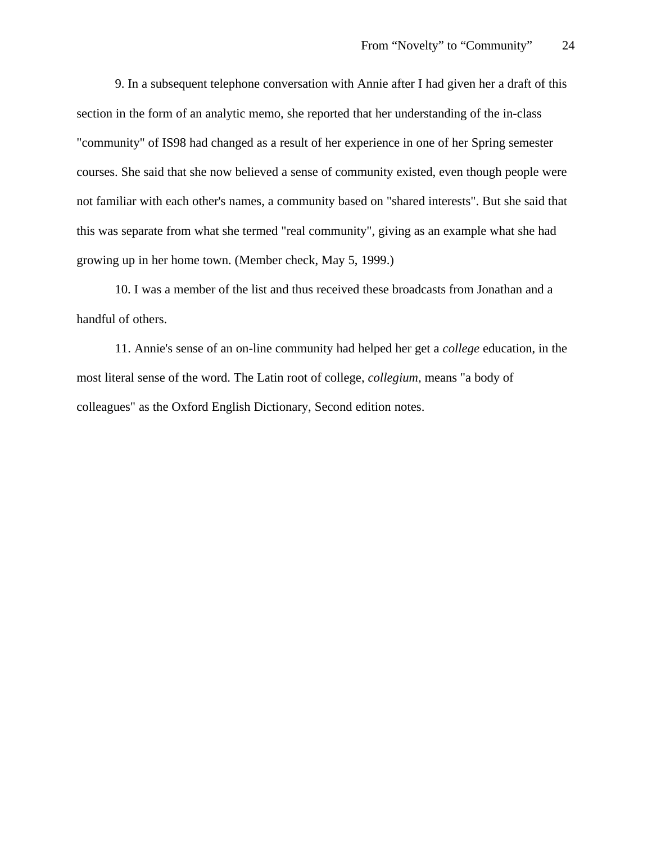9. In a subsequent telephone conversation with Annie after I had given her a draft of this section in the form of an analytic memo, she reported that her understanding of the in-class "community" of IS98 had changed as a result of her experience in one of her Spring semester courses. She said that she now believed a sense of community existed, even though people were not familiar with each other's names, a community based on "shared interests". But she said that this was separate from what she termed "real community", giving as an example what she had growing up in her home town. (Member check, May 5, 1999.)

10. I was a member of the list and thus received these broadcasts from Jonathan and a handful of others.

11. Annie's sense of an on-line community had helped her get a *college* education, in the most literal sense of the word. The Latin root of college, *collegium*, means "a body of colleagues" as the Oxford English Dictionary, Second edition notes.